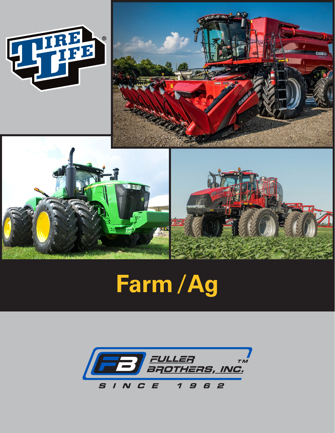

# Farm / Ag

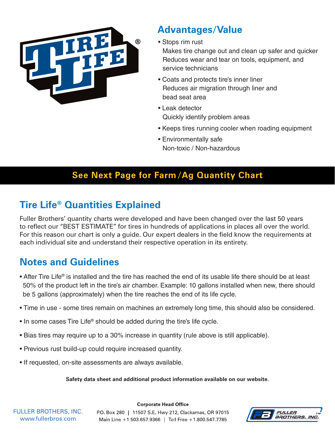

## **Advantages/Value**

• Stops rim rust

Makes tire change out and clean up safer and quicker Reduces wear and tear on tools, equipment, and service technicians

- Coats and protects tire's inner liner Reduces air migration through liner and bead seat area
- Leak detector Quickly identify problem areas
- Keeps tires running cooler when roading equipment
- Environmentally safe Non-toxic / Non-hazardous

#### **See Next Page for Farm /Ag Quantity Chart**

## **Tire Life® Quantities Explained**

Fuller Brothers' quantity charts were developed and have been changed over the last 50 years to reflect our "BEST ESTIMATE" for tires in hundreds of applications in places all over the world. For this reason our chart is only a guide. Our expert dealers in the field know the requirements at each individual site and understand their respective operation in its entirety.

## **Notes and Guidelines**

- After Tire Life® is installed and the tire has reached the end of its usable life there should be at least 50% of the product left in the tire's air chamber. Example: 10 gallons installed when new, there should be 5 gallons (approximately) when the tire reaches the end of its life cycle.
- Time in use some tires remain on machines an extremely long time, this should also be considered.
- In some cases Tire Life® should be added during the tire's life cycle.
- Bias tires may require up to a 30% increase in quantity (rule above is still applicable).
- Previous rust build-up could require increased quantity.
- If requested, on-site assessments are always available.

**Safety data sheet and additional product information available on our website.**

**FULLER BROTHERS, INC.** www.fullerbros.com

PO. Box 280 | 11507 S.E. Hwy 212, Clackamas, OR 97015 Main Line +1.503.657.9366 | Toll Free +1.800.547.7785

**Corporate Head Office**